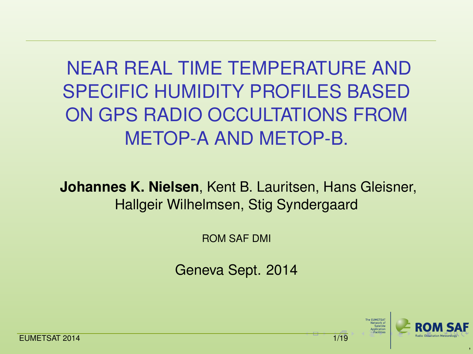NEAR REAL TIME TEMPERATURE AND SPECIFIC HUMIDITY PROFILES BASED ON GPS RADIO OCCULTATIONS FROM METOP-A AND METOP-B.

**Johannes K. Nielsen**, Kent B. Lauritsen, Hans Gleisner, Hallgeir Wilhelmsen, Stig Syndergaard

ROM SAF DMI

Geneva Sept. 2014



<span id="page-0-0"></span>,

**EUMETSAT 2014** [1/19](#page-0-0)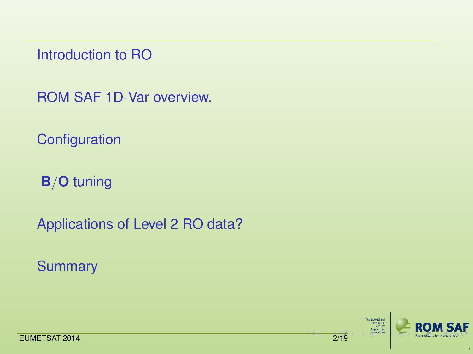[Introduction to RO](#page-2-0)

[ROM SAF 1D-Var overview.](#page-4-0)

**[Configuration](#page-9-0)** 

**B**/**O** [tuning](#page-12-0)

[Applications of Level 2 RO data?](#page-15-0)

**[Summary](#page-17-0)** 

The EUNETSAT<br>Network of<br>Satellite<br>Application<br>—Facilities



<span id="page-1-0"></span>,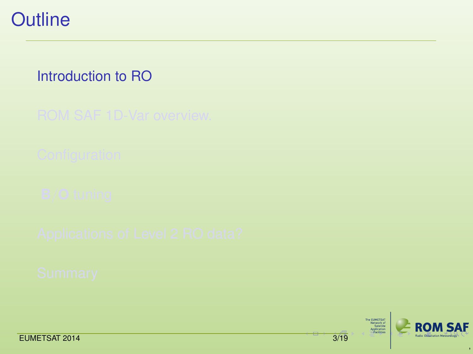

### [Introduction to RO](#page-2-0)

The EUNETSAT<br>Network of<br>Satellite<br>Application<br>—Facilities



<span id="page-2-0"></span>,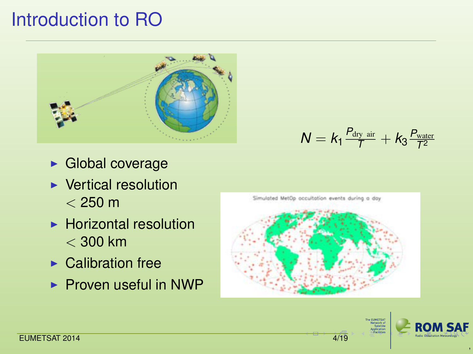# Introduction to RO



- $\blacktriangleright$  Global coverage
- $\blacktriangleright$  Vertical resolution  $<$  250 m
- $\blacktriangleright$  Horizontal resolution  $<$  300 km
- $\blacktriangleright$  Calibration free
- $\blacktriangleright$  Proven useful in NWP



 $N = k_1 \frac{P_{\text{dry air}}}{T} + k_3 \frac{P_{\text{water}}}{T^2}$ 





<span id="page-3-0"></span>,

*T*<sup>2</sup>

**EUMETSAT 2014** [4](#page-2-0)[/19](#page-3-0)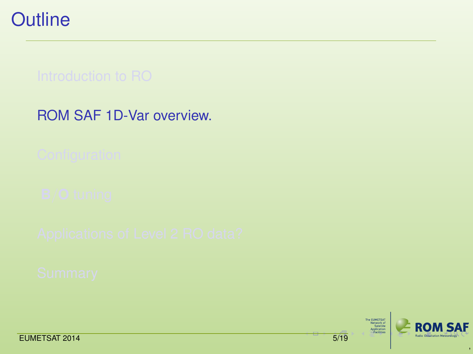**Outline** 

[ROM SAF 1D-Var overview.](#page-4-0)

The EUNETSAT<br>Network of<br>Satellite<br>Application<br>—Facilities



<span id="page-4-0"></span>,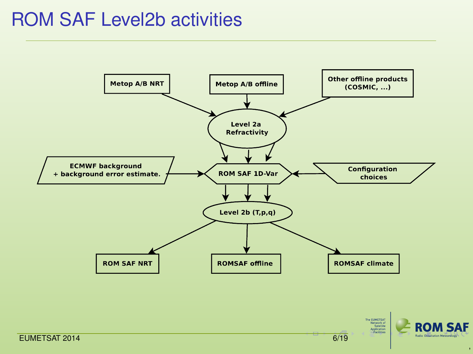## ROM SAF Level2b activities



<span id="page-5-0"></span>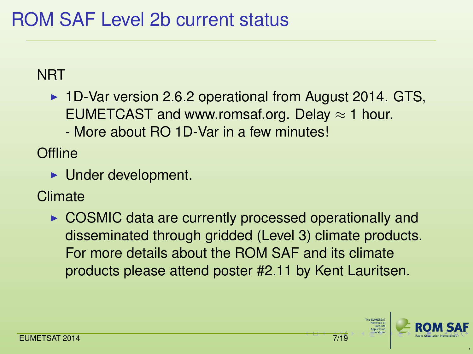# ROM SAF Level 2b current status

### **NRT**

 $\blacktriangleright$  1D-Var version 2.6.2 operational from August 2014. GTS, EUMETCAST and www.romsaf.org. Delay  $\approx$  1 hour. - More about RO 1D-Var in a few minutes!

**Offline** 

 $\blacktriangleright$  Under development.

**Climate** 

<span id="page-6-0"></span> $\triangleright$  COSMIC data are currently processed operationally and disseminated through gridded (Level 3) climate products. For more details about the ROM SAF and its climate products please attend poster #2.11 by Kent Lauritsen.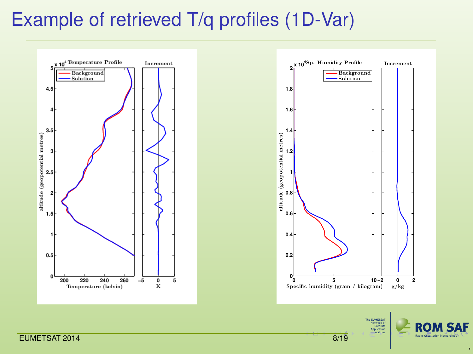## Example of retrieved T/q profiles (1D-Var)





The EUNETSAT<br>Network of<br>Satellite Application



<span id="page-7-0"></span>,

EUMETSAT 2014 **8[/19](#page-7-0)**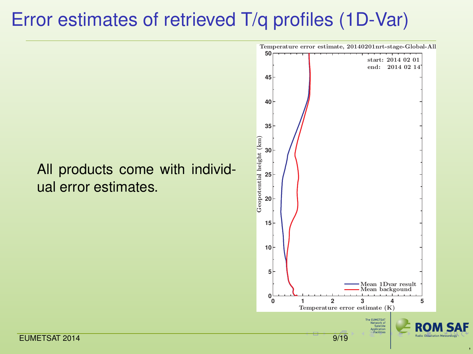# Error estimates of retrieved T/q profiles (1D-Var)

<span id="page-8-0"></span>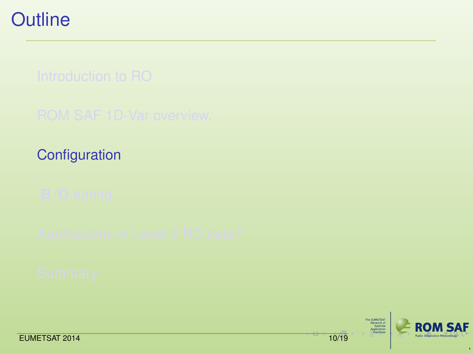**[Configuration](#page-9-0)** 

The EUNETSAT<br>Network of<br>Satellite<br>Application<br>—Facilities



<span id="page-9-0"></span>,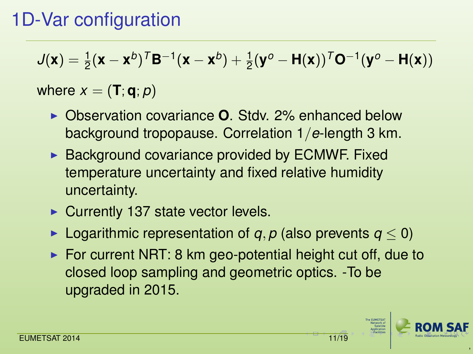# 1D-Var configuration

$$
J(\mathbf{x}) = \frac{1}{2}(\mathbf{x} - \mathbf{x}^b)^T \mathbf{B}^{-1}(\mathbf{x} - \mathbf{x}^b) + \frac{1}{2}(\mathbf{y}^o - \mathbf{H}(\mathbf{x}))^T \mathbf{O}^{-1}(\mathbf{y}^o - \mathbf{H}(\mathbf{x}))
$$

### where  $x = (\mathbf{T}; \mathbf{q}; p)$

- ▶ Observation covariance **O**. Stdv. 2% enhanced below background tropopause. Correlation 1/*e*-length 3 km.
- $\triangleright$  Background covariance provided by ECMWF. Fixed temperature uncertainty and fixed relative humidity uncertainty.
- $\triangleright$  Currently 137 state vector levels.
- **►** Logarithmic representation of *q*, *p* (also prevents  $q < 0$ )
- <span id="page-10-0"></span> $\triangleright$  For current NRT: 8 km geo-potential height cut off, due to closed loop sampling and geometric optics. -To be upgraded in 2015.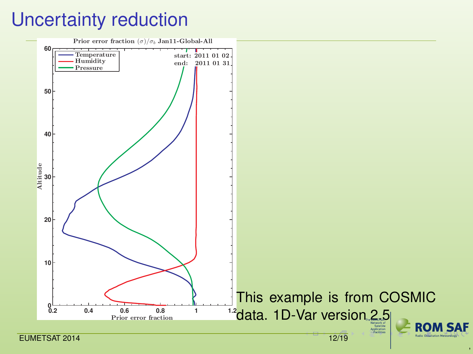# Uncertainty reduction

<span id="page-11-0"></span>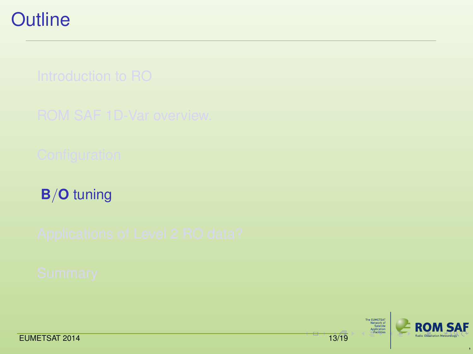**B**/**O** [tuning](#page-12-0)

The EUNETSAT<br>Network of<br>Satellite<br>Application<br>—Facilities



<span id="page-12-0"></span>,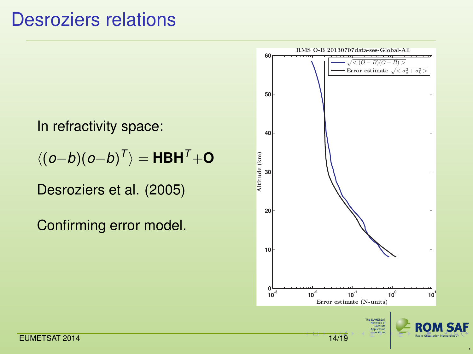### Desroziers relations

In refractivity space:

h(*o*−*b*)(*o*−*b*) *T* i = **HBH***T*+**O**

Desroziers et al. (2005)

<span id="page-13-0"></span>Confirming error model.

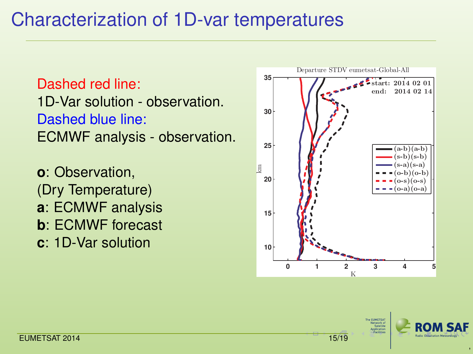## Characterization of 1D-var temperatures

Dashed red line: 1D-Var solution - observation. Dashed blue line: ECMWF analysis - observation.

**o**: Observation, (Dry Temperature) **a**: ECMWF analysis **b**: ECMWF forecast **c**: 1D-Var solution



**SA CUMETS** 



<span id="page-14-0"></span>,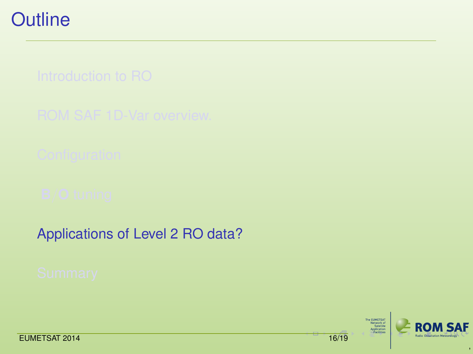[Applications of Level 2 RO data?](#page-15-0)

The EUNETSAT<br>Network of<br>Satellite<br>Application<br>—Facilities



<span id="page-15-0"></span>,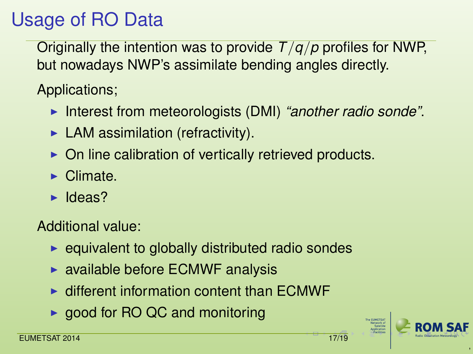# Usage of RO Data

Originally the intention was to provide *T*/*q*/*p* profiles for NWP, but nowadays NWP's assimilate bending angles directly.

Applications;

- Interest from meteorologists (DMI) "another radio sonde".
- $\blacktriangleright$  LAM assimilation (refractivity).
- $\triangleright$  On line calibration of vertically retrieved products.
- $\blacktriangleright$  Climate.
- $\blacktriangleright$  Ideas?

Additional value:

- $\blacktriangleright$  equivalent to globally distributed radio sondes
- $\triangleright$  available before ECMWF analysis
- $\triangleright$  different information content than  $\mathsf{FCMWF}$
- $\triangleright$  good for RO QC and monitoring

<span id="page-16-0"></span>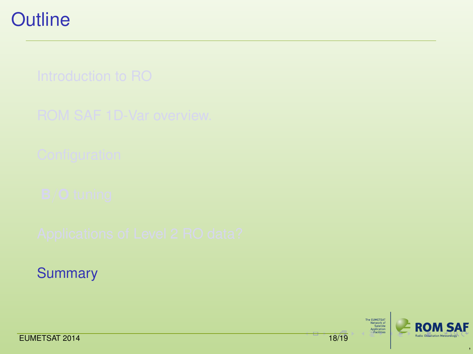**[Summary](#page-17-0)** 

The EUNETSAT<br>Network of<br>Satellite<br>Application<br>—Facilities



<span id="page-17-0"></span>,